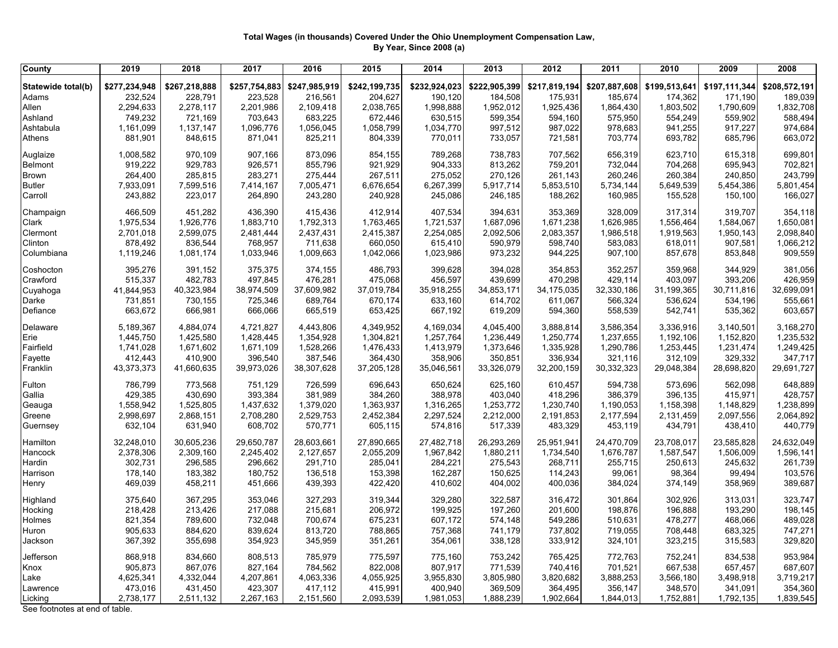## **Total Wages (in thousands) Covered Under the Ohio Unemployment Compensation Law, By Year, Since 2008 (a)**

| <b>County</b>                  | 2019                     | 2018                 | 2017                 | 2016                 | 2015                 | 2014                 | 2013                 | 2012                 | 2011                 | 2010                 | 2009                 | 2008                 |
|--------------------------------|--------------------------|----------------------|----------------------|----------------------|----------------------|----------------------|----------------------|----------------------|----------------------|----------------------|----------------------|----------------------|
|                                |                          |                      |                      |                      |                      |                      |                      |                      |                      |                      |                      |                      |
| Statewide total(b)<br>Adams    | \$277,234,948<br>232,524 | \$267,218,888        | \$257,754,883        | \$247,985,919        | \$242,199,735        | \$232,924,023        | \$222,905,399        | \$217,819,194        | \$207,887,608        | \$199,513,641        | \$197,111,344        | \$208,572,191        |
| Allen                          | 2,294,633                | 228,791<br>2,278,117 | 223,528<br>2,201,986 | 216,561<br>2,109,418 | 204,627<br>2,038,765 | 190,120<br>1,998,888 | 184,508<br>1,952,012 | 175,931<br>1,925,436 | 185,674<br>1,864,430 | 174,362<br>1,803,502 | 171,190<br>1,790,609 | 189,039<br>1,832,708 |
| Ashland                        | 749,232                  | 721,169              | 703,643              | 683,225              | 672,446              | 630,515              | 599,354              | 594,160              | 575,950              | 554,249              | 559,902              | 588,494              |
| Ashtabula                      | 1,161,099                | 1,137,147            | 1,096,776            | 1,056,045            | 1,058,799            | 1,034,770            | 997,512              | 987,022              | 978,683              | 941,255              | 917,227              | 974,684              |
| Athens                         |                          |                      |                      |                      |                      | 770,011              | 733,057              | 721,581              |                      | 693,782              | 685,796              | 663,072              |
|                                | 881,901                  | 848,615              | 871,041              | 825,211              | 804,339              |                      |                      |                      | 703,774              |                      |                      |                      |
| Auglaize                       | 1,008,582                | 970,109              | 907,166              | 873,096              | 854,155              | 789,268              | 738,783              | 707,562              | 656,319              | 623,710              | 615,318              | 699,801              |
| Belmont                        | 919,222                  | 929,783              | 926,571              | 855,796              | 921,929              | 904,333              | 813,262              | 759,201              | 732,044              | 704,268              | 695,943              | 702,821              |
| <b>Brown</b>                   | 264,400                  | 285,815              | 283,271              | 275,444              | 267,511              | 275,052              | 270,126              | 261,143              | 260,246              | 260,384              | 240,850              | 243,799              |
| <b>Butler</b>                  | 7,933,091                | 7,599,516            | 7,414,167            | 7,005,471            | 6,676,654            | 6,267,399            | 5,917,714            | 5,853,510            | 5,734,144            | 5,649,539            | 5,454,386            | 5,801,454            |
| Carroll                        | 243,882                  | 223,017              | 264,890              | 243,280              | 240,928              | 245,086              | 246,185              | 188,262              | 160,985              | 155,528              | 150,100              | 166,027              |
| Champaign                      | 466,509                  | 451,282              | 436,390              | 415,436              | 412,914              | 407,534              | 394,631              | 353,369              | 328,009              | 317,314              | 319,707              | 354,118              |
| Clark                          | 1,975,534                | 1,926,776            | 1,883,710            | 1,792,313            | 1,763,465            | 1,721,537            | 1,687,096            | 1,671,238            | 1,626,985            | 1,556,464            | 1,584,067            | 1,650,081            |
| Clermont                       | 2,701,018                | 2,599,075            | 2,481,444            | 2,437,431            | 2,415,387            | 2,254,085            | 2,092,506            | 2,083,357            | 1,986,518            | 1,919,563            | 1,950,143            | 2,098,840            |
| Clinton                        | 878,492                  | 836,544              | 768,957              | 711,638              | 660,050              | 615,410              | 590,979              | 598,740              | 583,083              | 618,011              | 907,581              | 1,066,212            |
| Columbiana                     | 1,119,246                | 1,081,174            | 1,033,946            | 1,009,663            | 1,042,066            | 1,023,986            | 973,232              | 944,225              | 907,100              | 857,678              | 853,848              | 909,559              |
| Coshocton                      | 395,276                  | 391,152              | 375,375              | 374,155              | 486,793              | 399,628              | 394,028              | 354,853              | 352,257              | 359,968              | 344,929              | 381,056              |
| Crawford                       | 515,337                  | 482,783              | 497,845              | 476,281              | 475,068              | 456,597              | 439,699              | 470,298              | 429,114              | 403,097              | 393,206              | 426,959              |
| Cuyahoga                       | 41,844,953               | 40,323,984           | 38,974,509           | 37,609,982           | 37,019,784           | 35,918,255           | 34,853,171           | 34,175,035           | 32,330,186           | 31,199,365           | 30,711,816           | 32,699,091           |
| Darke                          | 731,851                  | 730,155              | 725,346              | 689,764              | 670,174              | 633,160              | 614,702              | 611,067              | 566,324              | 536,624              | 534,196              | 555,661              |
| Defiance                       | 663,672                  | 666,981              | 666,066              | 665,519              | 653,425              | 667,192              | 619,209              | 594,360              | 558,539              | 542,741              | 535,362              | 603,657              |
| Delaware                       | 5,189,367                | 4,884,074            | 4,721,827            | 4,443,806            | 4,349,952            | 4,169,034            | 4,045,400            | 3,888,814            | 3,586,354            | 3,336,916            | 3,140,501            | 3,168,270            |
| Erie                           | 1,445,750                | 1,425,580            | 1,428,445            | 1,354,928            | 1,304,821            | 1,257,764            | 1,236,449            | 1,250,774            | 1,237,655            | 1,192,106            | 1,152,820            | 1,235,532            |
| Fairfield                      | 1,741,028                | 1,671,602            | 1,671,109            | 1,528,266            | 1,476,433            | 1,413,979            | 1,373,646            | 1,335,928            | 1,290,786            | 1,253,445            | 1,231,474            | 1,249,425            |
| Fayette                        | 412,443                  | 410,900              | 396,540              | 387,546              | 364,430              | 358,906              | 350,851              | 336,934              | 321,116              | 312,109              | 329,332              | 347,717              |
| Franklin                       | 43,373,373               | 41,660,635           | 39,973,026           | 38,307,628           | 37,205,128           | 35,046,561           | 33,326,079           | 32,200,159           | 30,332,323           | 29,048,384           | 28,698,820           | 29,691,727           |
| Fulton                         | 786,799                  | 773,568              | 751,129              | 726,599              | 696,643              | 650,624              | 625,160              | 610,457              | 594,738              | 573,696              | 562,098              | 648,889              |
| Gallia                         | 429,385                  | 430,690              | 393,384              | 381,989              | 384,260              | 388,978              | 403,040              | 418,296              | 386,379              | 396,135              | 415,971              | 428,757              |
| Geauga                         | 1,558,942                | 1,525,805            | 1,437,632            | 1,379,020            | 1,363,937            | 1,316,265            | 1,253,772            | 1,230,740            | 1,190,053            | 1,158,398            | 1,148,829            | 1,238,899            |
| Greene                         | 2,998,697                | 2,868,151            | 2,708,280            | 2,529,753            | 2,452,384            | 2,297,524            | 2,212,000            | 2,191,853            | 2,177,594            | 2,131,459            | 2,097,556            | 2,064,892            |
| Guernsey                       | 632,104                  | 631,940              | 608,702              | 570,771              | 605,115              | 574,816              | 517,339              | 483,329              | 453,119              | 434,791              | 438,410              | 440,779              |
| Hamilton                       | 32,248,010               | 30,605,236           | 29,650,787           | 28,603,661           | 27,890,665           | 27,482,718           | 26,293,269           | 25,951,941           | 24,470,709           | 23,708,017           | 23,585,828           | 24,632,049           |
| Hancock                        | 2,378,306                | 2,309,160            | 2,245,402            | 2,127,657            | 2,055,209            | 1,967,842            | 1,880,211            | 1,734,540            | 1,676,787            | 1,587,547            | 1,506,009            | 1,596,141            |
| Hardin                         | 302,731                  | 296,585              | 296,662              | 291,710              | 285,041              | 284,221              | 275,543              | 268,711              | 255,715              | 250,613              | 245,632              | 261,739              |
| Harrison                       | 178,140                  | 183,382              | 180,752              | 136,518              | 153,398              | 162,287              | 150,625              | 114,243              | 99,061               | 98,364               | 99,494               | 103,576              |
| Henry                          | 469,039                  | 458,211              | 451,666              | 439,393              | 422,420              | 410,602              | 404,002              | 400,036              | 384,024              | 374,149              | 358,969              | 389,687              |
| Highland                       | 375,640                  | 367,295              | 353,046              | 327,293              | 319,344              | 329,280              | 322,587              | 316,472              | 301,864              | 302,926              | 313,031              | 323,747              |
| Hocking                        | 218,428                  | 213,426              | 217,088              | 215,681              | 206,972              | 199,925              | 197,260              | 201,600              | 198,876              | 196,888              | 193,290              | 198,145              |
| Holmes                         | 821,354                  | 789,600              | 732,048              | 700,674              | 675,231              | 607,172              | 574,148              | 549,286              | 510,631              | 478,277              | 468,066              | 489,028              |
| Huron                          | 905,633                  | 884,620              | 839,624              | 813,720              | 788,865              | 757,368              | 741,179              | 737,802              | 719,055              | 708,448              | 683,325              | 747,271              |
| Jackson                        | 367,392                  | 355,698              | 354,923              | 345,959              | 351,261              | 354,061              | 338,128              | 333,912              | 324,101              | 323,215              | 315,583              | 329,820              |
| Jefferson                      | 868,918                  | 834,660              | 808,513              | 785,979              | 775,597              | 775,160              | 753,242              | 765,425              | 772,763              | 752,241              | 834,538              | 953,984              |
| Knox                           | 905,873                  | 867,076              | 827,164              | 784,562              | 822,008              | 807,917              | 771,539              | 740,416              | 701,521              | 667,538              | 657,457              | 687,607              |
| Lake                           | 4,625,341                | 4,332,044            | 4,207,861            | 4,063,336            | 4,055,925            | 3,955,830            | 3,805,980            | 3,820,682            | 3,888,253            | 3,566,180            | 3,498,918            | 3,719,217            |
| awrence                        | 473,016                  | 431,450              | 423,307              | 417,112              | 415,991              | 400,940              | 369,509              | 364,495              | 356,147              | 348,570              | 341,091              | 354,360              |
| Licking                        | 2,738,177                | 2,511,132            | 2,267,163            | 2,151,560            | 2,093,539            | 1,981,053            | 1,888,239            | 1,902,664            | 1,844,013            | 1,752,881            | 1,792,135            | 1,839,545            |
| See footnotes at end of table. |                          |                      |                      |                      |                      |                      |                      |                      |                      |                      |                      |                      |